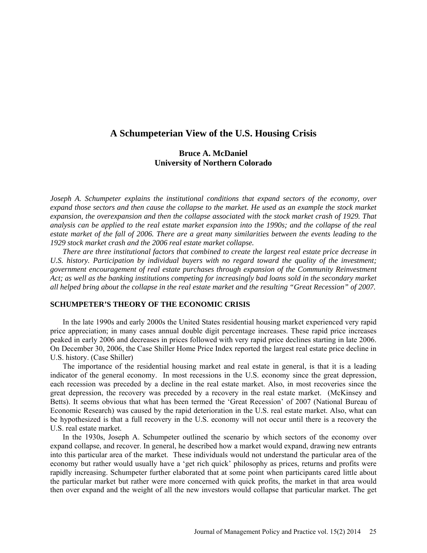# **A Schumpeterian View of the U.S. Housing Crisis**

## **Bruce A. McDaniel University of Northern Colorado**

*Joseph A. Schumpeter explains the institutional conditions that expand sectors of the economy, over expand those sectors and then cause the collapse to the market. He used as an example the stock market expansion, the overexpansion and then the collapse associated with the stock market crash of 1929. That analysis can be applied to the real estate market expansion into the 1990s; and the collapse of the real estate market of the fall of 2006. There are a great many similarities between the events leading to the 1929 stock market crash and the 2006 real estate market collapse.*

*There are three institutional factors that combined to create the largest real estate price decrease in U.S. history. Participation by individual buyers with no regard toward the quality of the investment; government encouragement of real estate purchases through expansion of the Community Reinvestment Act; as well as the banking institutions competing for increasingly bad loans sold in the secondary market all helped bring about the collapse in the real estate market and the resulting "Great Recession" of 2007.*

## **SCHUMPETER'S THEORY OF THE ECONOMIC CRISIS**

In the late 1990s and early 2000s the United States residential housing market experienced very rapid price appreciation; in many cases annual double digit percentage increases. These rapid price increases peaked in early 2006 and decreases in prices followed with very rapid price declines starting in late 2006. On December 30, 2006, the Case Shiller Home Price Index reported the largest real estate price decline in U.S. history. (Case Shiller)

The importance of the residential housing market and real estate in general, is that it is a leading indicator of the general economy. In most recessions in the U.S. economy since the great depression, each recession was preceded by a decline in the real estate market. Also, in most recoveries since the great depression, the recovery was preceded by a recovery in the real estate market. (McKinsey and Betts). It seems obvious that what has been termed the 'Great Recession' of 2007 (National Bureau of Economic Research) was caused by the rapid deterioration in the U.S. real estate market. Also, what can be hypothesized is that a full recovery in the U.S. economy will not occur until there is a recovery the U.S. real estate market.

In the 1930s, Joseph A. Schumpeter outlined the scenario by which sectors of the economy over expand collapse, and recover. In general, he described how a market would expand, drawing new entrants into this particular area of the market. These individuals would not understand the particular area of the economy but rather would usually have a 'get rich quick' philosophy as prices, returns and profits were rapidly increasing. Schumpeter further elaborated that at some point when participants cared little about the particular market but rather were more concerned with quick profits, the market in that area would then over expand and the weight of all the new investors would collapse that particular market. The get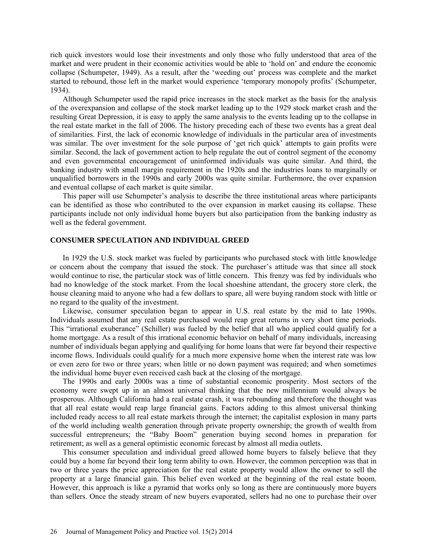rich quick investors would lose their investments and only those who fully understood that area of the market and were prudent in their economic activities would be able to 'hold on' and endure the economic collapse (Schumpeter, 1949). As a result, after the 'weeding out' process was complete and the market started to rebound, those left in the market would experience 'temporary monopoly profits' (Schumpeter, 1934).

Although Schumpeter used the rapid price increases in the stock market as the basis for the analysis of the overexpansion and collapse of the stock market leading up to the 1929 stock market crash and the resulting Great Depression, it is easy to apply the same analysis to the events leading up to the collapse in the real estate market in the fall of 2006. The history preceding each of these two events has a great deal of similarities. First, the lack of economic knowledge of individuals in the particular area of investments was similar. The over investment for the sole purpose of 'get rich quick' attempts to gain profits were similar. Second, the lack of government action to help regulate the out of control segment of the economy and even governmental encouragement of uninformed individuals was quite similar. And third, the banking industry with small margin requirement in the 1920s and the industries loans to marginally or unqualified borrowers in the 1990s and early 2000s was quite similar. Furthermore, the over expansion and eventual collapse of each market is quite similar.

This paper will use Schumpeter's analysis to describe the three institutional areas where participants can be identified as those who contributed to the over expansion in market causing its collapse. These participants include not only individual home buyers but also participation from the banking industry as well as the federal government.

### **CONSUMER SPECULATION AND INDIVIDUAL GREED**

In 1929 the U.S. stock market was fueled by participants who purchased stock with little knowledge or concern about the company that issued the stock. The purchaser's attitude was that since all stock would continue to rise, the particular stock was of little concern. This frenzy was fed by individuals who had no knowledge of the stock market. From the local shoeshine attendant, the grocery store clerk, the house cleaning maid to anyone who had a few dollars to spare, all were buying random stock with little or no regard to the quality of the investment.

Likewise, consumer speculation began to appear in U.S. real estate by the mid to late 1990s. Individuals assumed that any real estate purchased would reap great returns in very short time periods. This "irrational exuberance" (Schiller) was fueled by the belief that all who applied could qualify for a home mortgage. As a result of this irrational economic behavior on behalf of many individuals, increasing number of individuals began applying and qualifying for home loans that were far beyond their respective income flows. Individuals could qualify for a much more expensive home when the interest rate was low or even zero for two or three years; when little or no down payment was required; and when sometimes the individual home buyer even received cash back at the closing of the mortgage.

The 1990s and early 2000s was a time of substantial economic prosperity. Most sectors of the economy were swept up in an almost universal thinking that the new millennium would always be prosperous. Although California had a real estate crash, it was rebounding and therefore the thought was that all real estate would reap large financial gains. Factors adding to this almost universal thinking included ready access to all real estate markets through the internet; the capitalist explosion in many parts of the world including wealth generation through private property ownership; the growth of wealth from successful entrepreneurs; the "Baby Boom" generation buying second homes in preparation for retirement; as well as a general optimistic economic forecast by almost all media outlets.

This consumer speculation and individual greed allowed home buyers to falsely believe that they could buy a home far beyond their long term ability to own. However, the common perception was that in two or three years the price appreciation for the real estate property would allow the owner to sell the property at a large financial gain. This belief even worked at the beginning of the real estate boom. However, this approach is like a pyramid that works only so long as there are continuously more buyers than sellers. Once the steady stream of new buyers evaporated, sellers had no one to purchase their over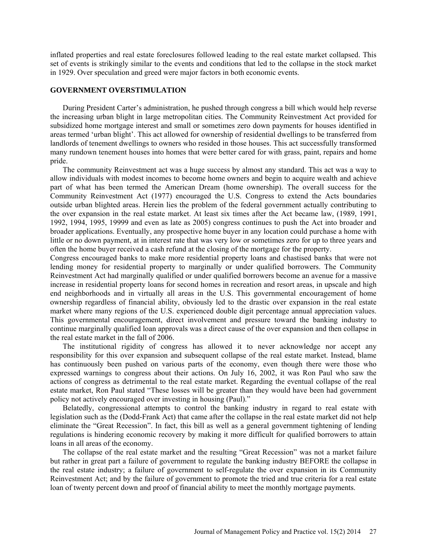inflated properties and real estate foreclosures followed leading to the real estate market collapsed. This set of events is strikingly similar to the events and conditions that led to the collapse in the stock market in 1929. Over speculation and greed were major factors in both economic events.

## **GOVERNMENT OVERSTIMULATION**

During President Carter's administration, he pushed through congress a bill which would help reverse the increasing urban blight in large metropolitan cities. The Community Reinvestment Act provided for subsidized home mortgage interest and small or sometimes zero down payments for houses identified in areas termed 'urban blight'. This act allowed for ownership of residential dwellings to be transferred from landlords of tenement dwellings to owners who resided in those houses. This act successfully transformed many rundown tenement houses into homes that were better cared for with grass, paint, repairs and home pride.

The community Reinvestment act was a huge success by almost any standard. This act was a way to allow individuals with modest incomes to become home owners and begin to acquire wealth and achieve part of what has been termed the American Dream (home ownership). The overall success for the Community Reinvestment Act (1977) encouraged the U.S. Congress to extend the Acts boundaries outside urban blighted areas. Herein lies the problem of the federal government actually contributing to the over expansion in the real estate market. At least six times after the Act became law, (1989, 1991, 1992, 1994, 1995, 19999 and even as late as 2005) congress continues to push the Act into broader and broader applications. Eventually, any prospective home buyer in any location could purchase a home with little or no down payment, at in interest rate that was very low or sometimes zero for up to three years and often the home buyer received a cash refund at the closing of the mortgage for the property.

Congress encouraged banks to make more residential property loans and chastised banks that were not lending money for residential property to marginally or under qualified borrowers. The Community Reinvestment Act had marginally qualified or under qualified borrowers become an avenue for a massive increase in residential property loans for second homes in recreation and resort areas, in upscale and high end neighborhoods and in virtually all areas in the U.S. This governmental encouragement of home ownership regardless of financial ability, obviously led to the drastic over expansion in the real estate market where many regions of the U.S. experienced double digit percentage annual appreciation values. This governmental encouragement, direct involvement and pressure toward the banking industry to continue marginally qualified loan approvals was a direct cause of the over expansion and then collapse in the real estate market in the fall of 2006.

The institutional rigidity of congress has allowed it to never acknowledge nor accept any responsibility for this over expansion and subsequent collapse of the real estate market. Instead, blame has continuously been pushed on various parts of the economy, even though there were those who expressed warnings to congress about their actions. On July 16, 2002, it was Ron Paul who saw the actions of congress as detrimental to the real estate market. Regarding the eventual collapse of the real estate market, Ron Paul stated "These losses will be greater than they would have been had government policy not actively encouraged over investing in housing (Paul)."

Belatedly, congressional attempts to control the banking industry in regard to real estate with legislation such as the (Dodd-Frank Act) that came after the collapse in the real estate market did not help eliminate the "Great Recession". In fact, this bill as well as a general government tightening of lending regulations is hindering economic recovery by making it more difficult for qualified borrowers to attain loans in all areas of the economy.

The collapse of the real estate market and the resulting "Great Recession" was not a market failure but rather in great part a failure of government to regulate the banking industry BEFORE the collapse in the real estate industry; a failure of government to self-regulate the over expansion in its Community Reinvestment Act; and by the failure of government to promote the tried and true criteria for a real estate loan of twenty percent down and proof of financial ability to meet the monthly mortgage payments.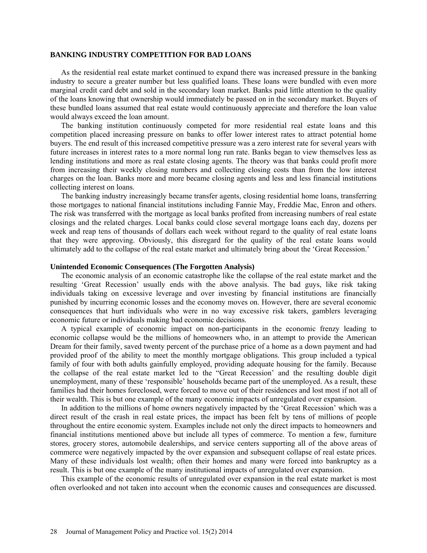#### **BANKING INDUSTRY COMPETITION FOR BAD LOANS**

As the residential real estate market continued to expand there was increased pressure in the banking industry to secure a greater number but less qualified loans. These loans were bundled with even more marginal credit card debt and sold in the secondary loan market. Banks paid little attention to the quality of the loans knowing that ownership would immediately be passed on in the secondary market. Buyers of these bundled loans assumed that real estate would continuously appreciate and therefore the loan value would always exceed the loan amount.

The banking institution continuously competed for more residential real estate loans and this competition placed increasing pressure on banks to offer lower interest rates to attract potential home buyers. The end result of this increased competitive pressure was a zero interest rate for several years with future increases in interest rates to a more normal long run rate. Banks began to view themselves less as lending institutions and more as real estate closing agents. The theory was that banks could profit more from increasing their weekly closing numbers and collecting closing costs than from the low interest charges on the loan. Banks more and more became closing agents and less and less financial institutions collecting interest on loans.

The banking industry increasingly became transfer agents, closing residential home loans, transferring those mortgages to national financial institutions including Fannie May, Freddie Mac, Enron and others. The risk was transferred with the mortgage as local banks profited from increasing numbers of real estate closings and the related charges. Local banks could close several mortgage loans each day, dozens per week and reap tens of thousands of dollars each week without regard to the quality of real estate loans that they were approving. Obviously, this disregard for the quality of the real estate loans would ultimately add to the collapse of the real estate market and ultimately bring about the 'Great Recession.'

#### **Unintended Economic Consequences (The Forgotten Analysis)**

The economic analysis of an economic catastrophe like the collapse of the real estate market and the resulting 'Great Recession' usually ends with the above analysis. The bad guys, like risk taking individuals taking on excessive leverage and over investing by financial institutions are financially punished by incurring economic losses and the economy moves on. However, there are several economic consequences that hurt individuals who were in no way excessive risk takers, gamblers leveraging economic future or individuals making bad economic decisions.

A typical example of economic impact on non-participants in the economic frenzy leading to economic collapse would be the millions of homeowners who, in an attempt to provide the American Dream for their family, saved twenty percent of the purchase price of a home as a down payment and had provided proof of the ability to meet the monthly mortgage obligations. This group included a typical family of four with both adults gainfully employed, providing adequate housing for the family. Because the collapse of the real estate market led to the "Great Recession' and the resulting double digit unemployment, many of these 'responsible' households became part of the unemployed. As a result, these families had their homes foreclosed, were forced to move out of their residences and lost most if not all of their wealth. This is but one example of the many economic impacts of unregulated over expansion.

In addition to the millions of home owners negatively impacted by the 'Great Recession' which was a direct result of the crash in real estate prices, the impact has been felt by tens of millions of people throughout the entire economic system. Examples include not only the direct impacts to homeowners and financial institutions mentioned above but include all types of commerce. To mention a few, furniture stores, grocery stores, automobile dealerships, and service centers supporting all of the above areas of commerce were negatively impacted by the over expansion and subsequent collapse of real estate prices. Many of these individuals lost wealth; often their homes and many were forced into bankruptcy as a result. This is but one example of the many institutional impacts of unregulated over expansion.

This example of the economic results of unregulated over expansion in the real estate market is most often overlooked and not taken into account when the economic causes and consequences are discussed.